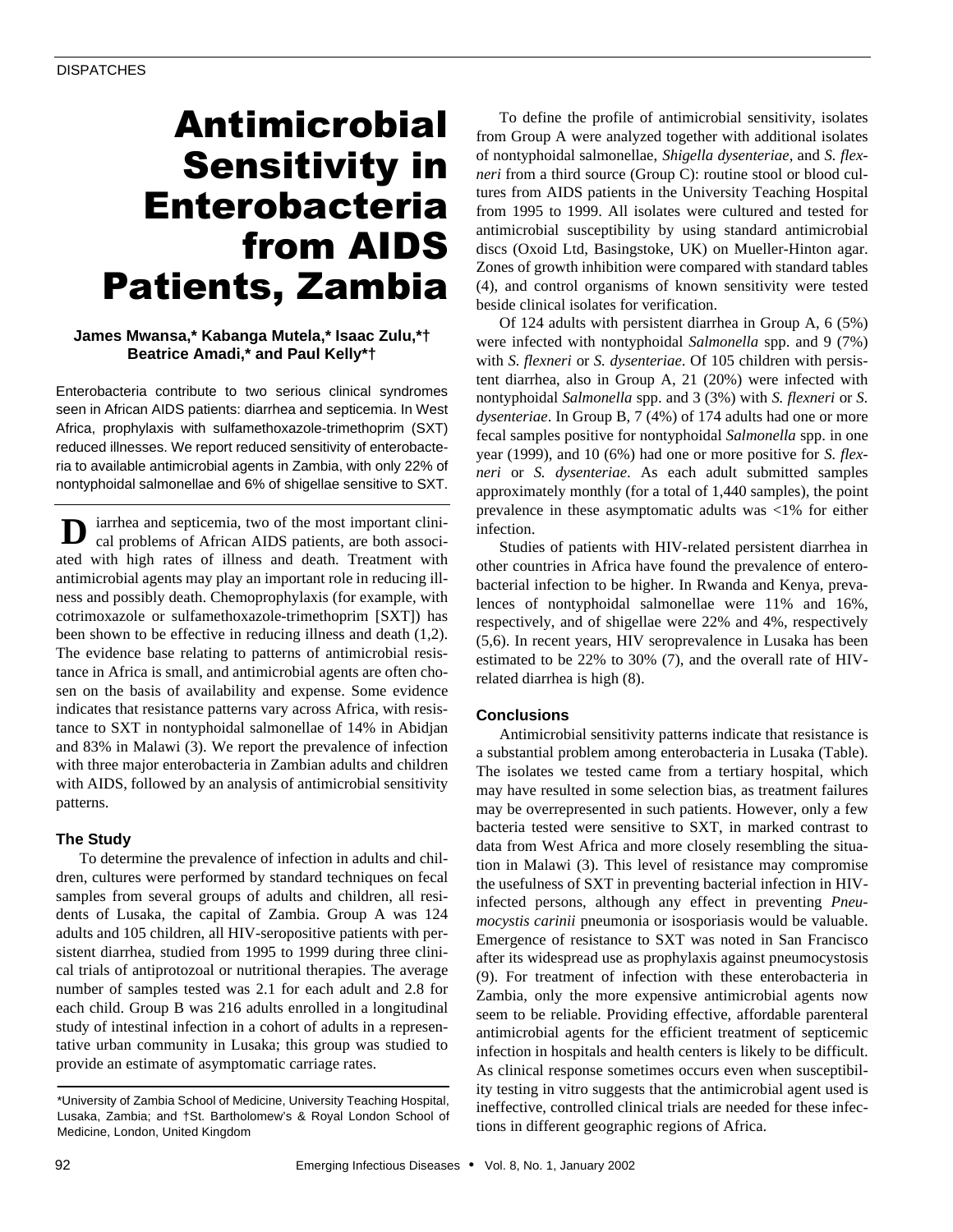# Antimicrobial Sensitivity in Enterobacteria from AIDS Patients, Zambia

## **James Mwansa,\* Kabanga Mutela,\* Isaac Zulu,\*† Beatrice Amadi,\* and Paul Kelly\*†**

Enterobacteria contribute to two serious clinical syndromes seen in African AIDS patients: diarrhea and septicemia. In West Africa, prophylaxis with sulfamethoxazole-trimethoprim (SXT) reduced illnesses. We report reduced sensitivity of enterobacteria to available antimicrobial agents in Zambia, with only 22% of nontyphoidal salmonellae and 6% of shigellae sensitive to SXT.

iarrhea and septicemia, two of the most important clinical problems of African AIDS patients, are both associated with high rates of illness and death. Treatment with antimicrobial agents may play an important role in reducing illness and possibly death. Chemoprophylaxis (for example, with cotrimoxazole or sulfamethoxazole-trimethoprim [SXT]) has been shown to be effective in reducing illness and death (1,2). The evidence base relating to patterns of antimicrobial resistance in Africa is small, and antimicrobial agents are often chosen on the basis of availability and expense. Some evidence indicates that resistance patterns vary across Africa, with resistance to SXT in nontyphoidal salmonellae of 14% in Abidjan and 83% in Malawi (3). We report the prevalence of infection with three major enterobacteria in Zambian adults and children with AIDS, followed by an analysis of antimicrobial sensitivity patterns. **D**

## **The Study**

To determine the prevalence of infection in adults and children, cultures were performed by standard techniques on fecal samples from several groups of adults and children, all residents of Lusaka, the capital of Zambia. Group A was 124 adults and 105 children, all HIV-seropositive patients with persistent diarrhea, studied from 1995 to 1999 during three clinical trials of antiprotozoal or nutritional therapies. The average number of samples tested was 2.1 for each adult and 2.8 for each child. Group B was 216 adults enrolled in a longitudinal study of intestinal infection in a cohort of adults in a representative urban community in Lusaka; this group was studied to provide an estimate of asymptomatic carriage rates.

To define the profile of antimicrobial sensitivity, isolates from Group A were analyzed together with additional isolates of nontyphoidal salmonellae, *Shigella dysenteriae*, and *S. flexneri* from a third source (Group C): routine stool or blood cultures from AIDS patients in the University Teaching Hospital from 1995 to 1999. All isolates were cultured and tested for antimicrobial susceptibility by using standard antimicrobial discs (Oxoid Ltd, Basingstoke, UK) on Mueller-Hinton agar. Zones of growth inhibition were compared with standard tables (4), and control organisms of known sensitivity were tested beside clinical isolates for verification.

Of 124 adults with persistent diarrhea in Group A, 6 (5%) were infected with nontyphoidal *Salmonella* spp. and 9 (7%) with *S. flexneri* or *S. dysenteriae*. Of 105 children with persistent diarrhea, also in Group A, 21 (20%) were infected with nontyphoidal *Salmonella* spp. and 3 (3%) with *S. flexneri* or *S. dysenteriae*. In Group B, 7 (4%) of 174 adults had one or more fecal samples positive for nontyphoidal *Salmonella* spp. in one year (1999), and 10 (6%) had one or more positive for *S. flexneri* or *S. dysenteriae*. As each adult submitted samples approximately monthly (for a total of 1,440 samples), the point prevalence in these asymptomatic adults was <1% for either infection.

Studies of patients with HIV-related persistent diarrhea in other countries in Africa have found the prevalence of enterobacterial infection to be higher. In Rwanda and Kenya, prevalences of nontyphoidal salmonellae were 11% and 16%, respectively, and of shigellae were 22% and 4%, respectively (5,6). In recent years, HIV seroprevalence in Lusaka has been estimated to be 22% to 30% (7), and the overall rate of HIVrelated diarrhea is high (8).

## **Conclusions**

Antimicrobial sensitivity patterns indicate that resistance is a substantial problem among enterobacteria in Lusaka (Table). The isolates we tested came from a tertiary hospital, which may have resulted in some selection bias, as treatment failures may be overrepresented in such patients. However, only a few bacteria tested were sensitive to SXT, in marked contrast to data from West Africa and more closely resembling the situation in Malawi (3). This level of resistance may compromise the usefulness of SXT in preventing bacterial infection in HIVinfected persons, although any effect in preventing *Pneumocystis carinii* pneumonia or isosporiasis would be valuable. Emergence of resistance to SXT was noted in San Francisco after its widespread use as prophylaxis against pneumocystosis (9). For treatment of infection with these enterobacteria in Zambia, only the more expensive antimicrobial agents now seem to be reliable. Providing effective, affordable parenteral antimicrobial agents for the efficient treatment of septicemic infection in hospitals and health centers is likely to be difficult. As clinical response sometimes occurs even when susceptibility testing in vitro suggests that the antimicrobial agent used is ineffective, controlled clinical trials are needed for these infections in different geographic regions of Africa.

<sup>\*</sup>University of Zambia School of Medicine, University Teaching Hospital, Lusaka, Zambia; and †St. Bartholomew's & Royal London School of Medicine, London, United Kingdom